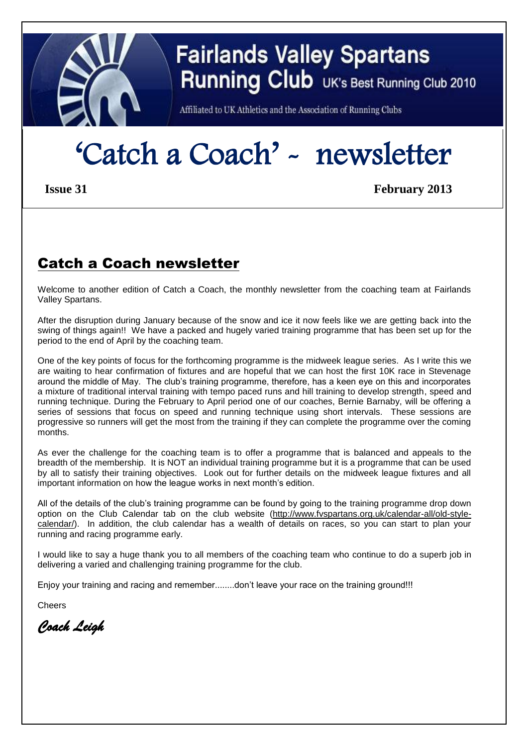

# **Fairlands Valley Spartans Running Club** UK's Best Running Club 2010

Affiliated to UK Athletics and the Association of Running Clubs

# 'Catch a Coach' - newsletter

 **Issue 31 February 2013** 

## Catch a Coach newsletter

Welcome to another edition of Catch a Coach, the monthly newsletter from the coaching team at Fairlands Valley Spartans.

After the disruption during January because of the snow and ice it now feels like we are getting back into the swing of things again!! We have a packed and hugely varied training programme that has been set up for the period to the end of April by the coaching team.

One of the key points of focus for the forthcoming programme is the midweek league series. As I write this we are waiting to hear confirmation of fixtures and are hopeful that we can host the first 10K race in Stevenage around the middle of May. The club's training programme, therefore, has a keen eye on this and incorporates a mixture of traditional interval training with tempo paced runs and hill training to develop strength, speed and running technique. During the February to April period one of our coaches, Bernie Barnaby, will be offering a series of sessions that focus on speed and running technique using short intervals. These sessions are progressive so runners will get the most from the training if they can complete the programme over the coming months.

As ever the challenge for the coaching team is to offer a programme that is balanced and appeals to the breadth of the membership. It is NOT an individual training programme but it is a programme that can be used by all to satisfy their training objectives. Look out for further details on the midweek league fixtures and all important information on how the league works in next month's edition.

All of the details of the club's training programme can be found by going to the training programme drop down option on the Club Calendar tab on the club website [\(http://www.fvspartans.org.uk/calendar-all/old-style](http://www.fvspartans.org.uk/calendar-all/old-style-calendar/)[calendar/\)](http://www.fvspartans.org.uk/calendar-all/old-style-calendar/). In addition, the club calendar has a wealth of details on races, so you can start to plan your running and racing programme early.

I would like to say a huge thank you to all members of the coaching team who continue to do a superb job in delivering a varied and challenging training programme for the club.

Enjoy your training and racing and remember........don't leave your race on the training ground!!!

Cheers

*Coach Leigh*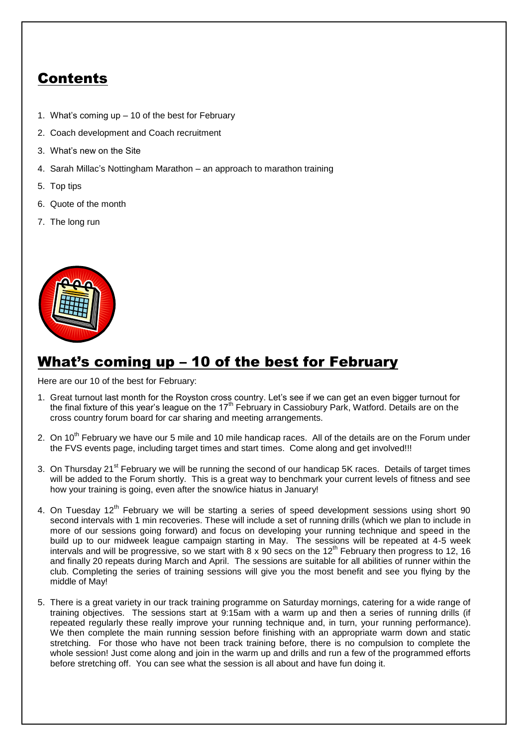# Contents

- 1. What's coming up 10 of the best for February
- 2. Coach development and Coach recruitment
- 3. What's new on the Site
- 4. Sarah Millac's Nottingham Marathon an approach to marathon training
- 5. Top tips
- 6. Quote of the month
- 7. The long run



### What's coming up – 10 of the best for February

Here are our 10 of the best for February:

- 1. Great turnout last month for the Royston cross country. Let's see if we can get an even bigger turnout for the final fixture of this year's league on the 17<sup>th</sup> February in Cassiobury Park, Watford. Details are on the cross country forum board for car sharing and meeting arrangements.
- 2. On 10<sup>th</sup> February we have our 5 mile and 10 mile handicap races. All of the details are on the Forum under the FVS events page, including target times and start times. Come along and get involved!!!
- 3. On Thursday 21<sup>st</sup> February we will be running the second of our handicap 5K races. Details of target times will be added to the Forum shortly. This is a great way to benchmark your current levels of fitness and see how your training is going, even after the snow/ice hiatus in January!
- 4. On Tuesday  $12<sup>th</sup>$  February we will be starting a series of speed development sessions using short 90 second intervals with 1 min recoveries. These will include a set of running drills (which we plan to include in more of our sessions going forward) and focus on developing your running technique and speed in the build up to our midweek league campaign starting in May. The sessions will be repeated at 4-5 week intervals and will be progressive, so we start with  $8 \times 90$  secs on the 12<sup>th</sup> February then progress to 12, 16 and finally 20 repeats during March and April. The sessions are suitable for all abilities of runner within the club. Completing the series of training sessions will give you the most benefit and see you flying by the middle of May!
- 5. There is a great variety in our track training programme on Saturday mornings, catering for a wide range of training objectives. The sessions start at 9:15am with a warm up and then a series of running drills (if repeated regularly these really improve your running technique and, in turn, your running performance). We then complete the main running session before finishing with an appropriate warm down and static stretching. For those who have not been track training before, there is no compulsion to complete the whole session! Just come along and join in the warm up and drills and run a few of the programmed efforts before stretching off. You can see what the session is all about and have fun doing it.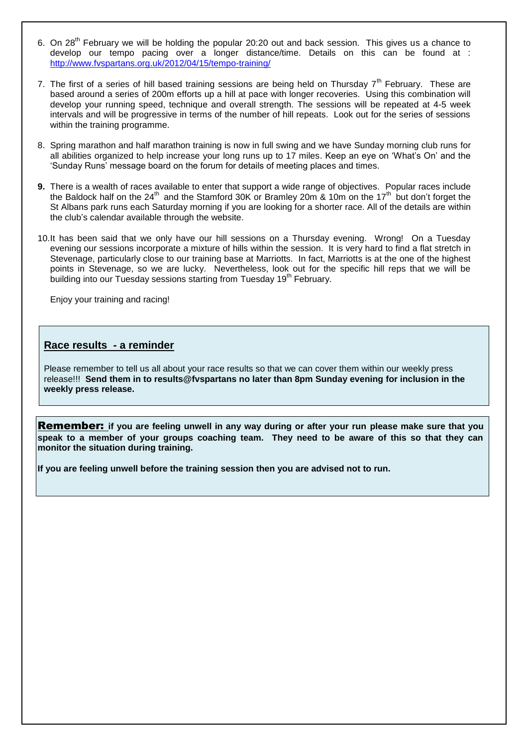- 6. On 28<sup>th</sup> February we will be holding the popular 20:20 out and back session. This gives us a chance to develop our tempo pacing over a longer distance/time. Details on this can be found at : <http://www.fvspartans.org.uk/2012/04/15/tempo-training/>
- 7. The first of a series of hill based training sessions are being held on Thursday  $7<sup>th</sup>$  February. These are based around a series of 200m efforts up a hill at pace with longer recoveries. Using this combination will develop your running speed, technique and overall strength. The sessions will be repeated at 4-5 week intervals and will be progressive in terms of the number of hill repeats. Look out for the series of sessions within the training programme.
- 8. Spring marathon and half marathon training is now in full swing and we have Sunday morning club runs for all abilities organized to help increase your long runs up to 17 miles. Keep an eye on 'What's On' and the 'Sunday Runs' message board on the forum for details of meeting places and times.
- **9.** There is a wealth of races available to enter that support a wide range of objectives. Popular races include the Baldock half on the 24<sup>th</sup> and the Stamford 30K or Bramley 20m & 10m on the 17<sup>th</sup> but don't forget the St Albans park runs each Saturday morning if you are looking for a shorter race. All of the details are within the club's calendar available through the website.
- 10.It has been said that we only have our hill sessions on a Thursday evening. Wrong! On a Tuesday evening our sessions incorporate a mixture of hills within the session. It is very hard to find a flat stretch in Stevenage, particularly close to our training base at Marriotts. In fact, Marriotts is at the one of the highest points in Stevenage, so we are lucky. Nevertheless, look out for the specific hill reps that we will be building into our Tuesday sessions starting from Tuesday 19<sup>th</sup> February.

Enjoy your training and racing!

#### **Race results - a reminder**

Please remember to tell us all about your race results so that we can cover them within our weekly press release!!! **Send them in to results@fvspartans no later than 8pm Sunday evening for inclusion in the weekly press release.**

Remember: **if you are feeling unwell in any way during or after your run please make sure that you speak to a member of your groups coaching team. They need to be aware of this so that they can monitor the situation during training.** 

**If you are feeling unwell before the training session then you are advised not to run.**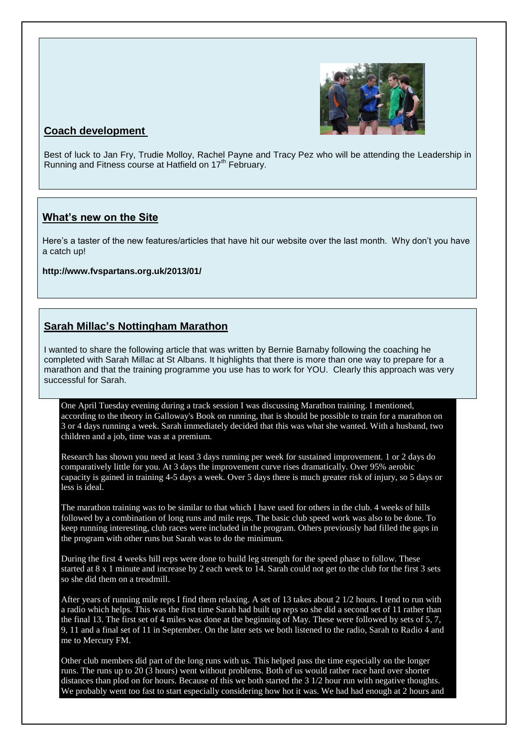

### **Coach development**

Best of luck to Jan Fry, Trudie Molloy, Rachel Payne and Tracy Pez who will be attending the Leadership in Running and Fitness course at Hatfield on 17<sup>th</sup> February.

#### **What's new on the Site**

Here's a taster of the new features/articles that have hit our website over the last month. Why don't you have a catch up!

**http://www.fvspartans.org.uk/2013/01/**

#### **Sarah Millac's Nottingham Marathon**

I wanted to share the following article that was written by Bernie Barnaby following the coaching he completed with Sarah Millac at St Albans. It highlights that there is more than one way to prepare for a marathon and that the training programme you use has to work for YOU. Clearly this approach was very successful for Sarah.

One April Tuesday evening during a track session I was discussing Marathon training. I mentioned, according to the theory in Galloway's Book on running, that is should be possible to train for a marathon on 3 or 4 days running a week. Sarah immediately decided that this was what she wanted. With a husband, two children and a job, time was at a premium.

Research has shown you need at least 3 days running per week for sustained improvement. 1 or 2 days do comparatively little for you. At 3 days the improvement curve rises dramatically. Over 95% aerobic capacity is gained in training 4-5 days a week. Over 5 days there is much greater risk of injury, so 5 days or less is ideal.

The marathon training was to be similar to that which I have used for others in the club. 4 weeks of hills followed by a combination of long runs and mile reps. The basic club speed work was also to be done. To keep running interesting, club races were included in the program. Others previously had filled the gaps in the program with other runs but Sarah was to do the minimum.

During the first 4 weeks hill reps were done to build leg strength for the speed phase to follow. These started at 8 x 1 minute and increase by 2 each week to 14. Sarah could not get to the club for the first 3 sets so she did them on a treadmill.

After years of running mile reps I find them relaxing. A set of 13 takes about 2 1/2 hours. I tend to run with a radio which helps. This was the first time Sarah had built up reps so she did a second set of 11 rather than the final 13. The first set of 4 miles was done at the beginning of May. These were followed by sets of 5, 7, 9, 11 and a final set of 11 in September. On the later sets we both listened to the radio, Sarah to Radio 4 and me to Mercury FM.

Other club members did part of the long runs with us. This helped pass the time especially on the longer runs. The runs up to 20 (3 hours) went without problems. Both of us would rather race hard over shorter distances than plod on for hours. Because of this we both started the 3 1/2 hour run with negative thoughts. We probably went too fast to start especially considering how hot it was. We had had enough at 2 hours and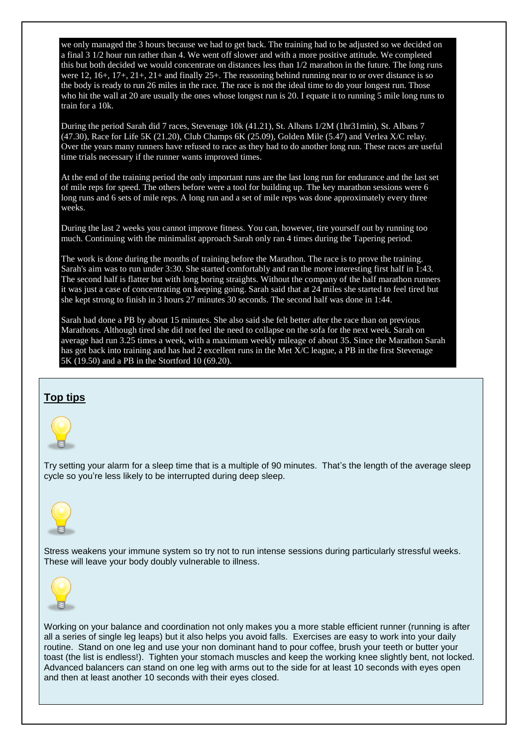we only managed the 3 hours because we had to get back. The training had to be adjusted so we decided on a final 3 1/2 hour run rather than 4. We went off slower and with a more positive attitude. We completed this but both decided we would concentrate on distances less than 1/2 marathon in the future. The long runs were 12, 16+, 17+, 21+, 21+ and finally 25+. The reasoning behind running near to or over distance is so the body is ready to run 26 miles in the race. The race is not the ideal time to do your longest run. Those who hit the wall at 20 are usually the ones whose longest run is 20. I equate it to running 5 mile long runs to train for a 10k.

During the period Sarah did 7 races, Stevenage 10k (41.21), St. Albans 1/2M (1hr31min), St. Albans 7 (47.30), Race for Life 5K (21.20), Club Champs 6K (25.09), Golden Mile (5.47) and Verlea X/C relay. Over the years many runners have refused to race as they had to do another long run. These races are useful time trials necessary if the runner wants improved times.

At the end of the training period the only important runs are the last long run for endurance and the last set of mile reps for speed. The others before were a tool for building up. The key marathon sessions were 6 long runs and 6 sets of mile reps. A long run and a set of mile reps was done approximately every three weeks.

During the last 2 weeks you cannot improve fitness. You can, however, tire yourself out by running too much. Continuing with the minimalist approach Sarah only ran 4 times during the Tapering period.

The work is done during the months of training before the Marathon. The race is to prove the training. Sarah's aim was to run under 3:30. She started comfortably and ran the more interesting first half in 1:43. The second half is flatter but with long boring straights. Without the company of the half marathon runners it was just a case of concentrating on keeping going. Sarah said that at 24 miles she started to feel tired but she kept strong to finish in 3 hours 27 minutes 30 seconds. The second half was done in 1:44.

Sarah had done a PB by about 15 minutes. She also said she felt better after the race than on previous Marathons. Although tired she did not feel the need to collapse on the sofa for the next week. Sarah on average had run 3.25 times a week, with a maximum weekly mileage of about 35. Since the Marathon Sarah has got back into training and has had 2 excellent runs in the Met X/C league, a PB in the first Stevenage 5K (19.50) and a PB in the Stortford 10 (69.20).

#### **Top tips**



Try setting your alarm for a sleep time that is a multiple of 90 minutes. That's the length of the average sleep cycle so you're less likely to be interrupted during deep sleep.



Stress weakens your immune system so try not to run intense sessions during particularly stressful weeks. These will leave your body doubly vulnerable to illness.



Working on your balance and coordination not only makes you a more stable efficient runner (running is after all a series of single leg leaps) but it also helps you avoid falls. Exercises are easy to work into your daily routine. Stand on one leg and use your non dominant hand to pour coffee, brush your teeth or butter your toast (the list is endless!). Tighten your stomach muscles and keep the working knee slightly bent, not locked. Advanced balancers can stand on one leg with arms out to the side for at least 10 seconds with eyes open and then at least another 10 seconds with their eyes closed.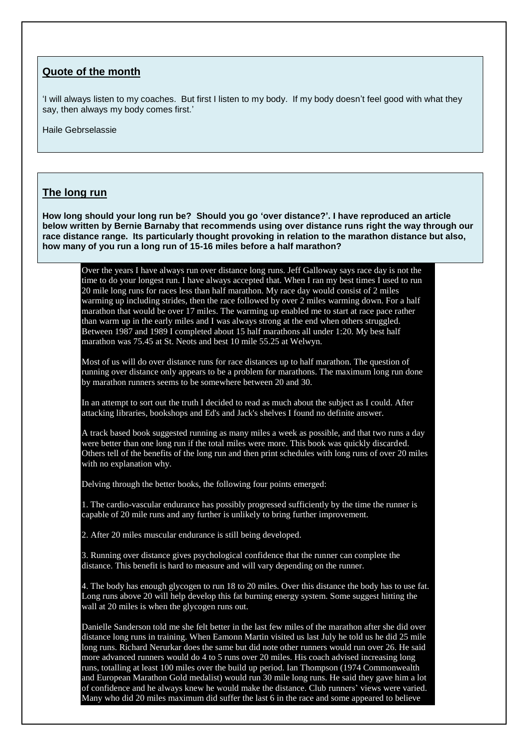#### **Quote of the month**

'I will always listen to my coaches. But first I listen to my body. If my body doesn't feel good with what they say, then always my body comes first.'

Haile Gebrselassie

#### **The long run**

**How long should your long run be? Should you go 'over distance?'. I have reproduced an article below written by Bernie Barnaby that recommends using over distance runs right the way through our race distance range. Its particularly thought provoking in relation to the marathon distance but also, how many of you run a long run of 15-16 miles before a half marathon?**

Over the years I have always run over distance long runs. Jeff Galloway says race day is not the time to do your longest run. I have always accepted that. When I ran my best times I used to run 20 mile long runs for races less than half marathon. My race day would consist of 2 miles warming up including strides, then the race followed by over 2 miles warming down. For a half marathon that would be over 17 miles. The warming up enabled me to start at race pace rather than warm up in the early miles and I was always strong at the end when others struggled. Between 1987 and 1989 I completed about 15 half marathons all under 1:20. My best half marathon was 75.45 at St. Neots and best 10 mile 55.25 at Welwyn.

Most of us will do over distance runs for race distances up to half marathon. The question of running over distance only appears to be a problem for marathons. The maximum long run done by marathon runners seems to be somewhere between 20 and 30.

In an attempt to sort out the truth I decided to read as much about the subject as I could. After attacking libraries, bookshops and Ed's and Jack's shelves I found no definite answer.

A track based book suggested running as many miles a week as possible, and that two runs a day were better than one long run if the total miles were more. This book was quickly discarded. Others tell of the benefits of the long run and then print schedules with long runs of over 20 miles with no explanation why.

Delving through the better books, the following four points emerged:

1. The cardio-vascular endurance has possibly progressed sufficiently by the time the runner is capable of 20 mile runs and any further is unlikely to bring further improvement.

2. After 20 miles muscular endurance is still being developed.

3. Running over distance gives psychological confidence that the runner can complete the distance. This benefit is hard to measure and will vary depending on the runner.

4. The body has enough glycogen to run 18 to 20 miles. Over this distance the body has to use fat. Long runs above 20 will help develop this fat burning energy system. Some suggest hitting the wall at 20 miles is when the glycogen runs out.

Danielle Sanderson told me she felt better in the last few miles of the marathon after she did over distance long runs in training. When Eamonn Martin visited us last July he told us he did 25 mile long runs. Richard Nerurkar does the same but did note other runners would run over 26. He said more advanced runners would do 4 to 5 runs over 20 miles. His coach advised increasing long runs, totalling at least 100 miles over the build up period. Ian Thompson (1974 Commonwealth and European Marathon Gold medalist) would run 30 mile long runs. He said they gave him a lot of confidence and he always knew he would make the distance. Club runners' views were varied. Many who did 20 miles maximum did suffer the last 6 in the race and some appeared to believe